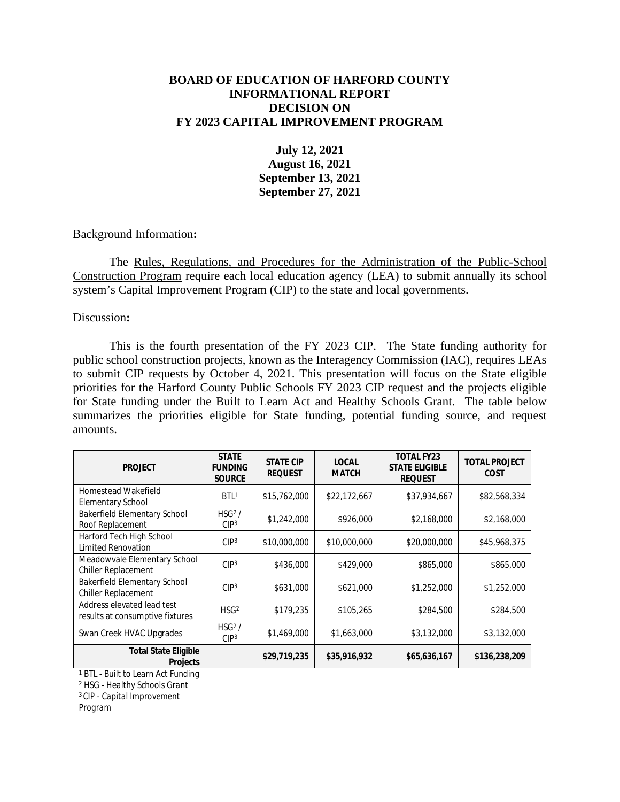#### **BOARD OF EDUCATION OF HARFORD COUNTY INFORMATIONAL REPORT DECISION ON FY 2023 CAPITAL IMPROVEMENT PROGRAM**

**July 12, 2021 August 16, 2021 September 13, 2021 September 27, 2021**

#### Background Information**:**

The Rules, Regulations, and Procedures for the Administration of the Public-School Construction Program require each local education agency (LEA) to submit annually its school system's Capital Improvement Program (CIP) to the state and local governments.

#### Discussion**:**

This is the fourth presentation of the FY 2023 CIP. The State funding authority for public school construction projects, known as the Interagency Commission (IAC), requires LEAs to submit CIP requests by October 4, 2021. This presentation will focus on the State eligible priorities for the Harford County Public Schools FY 2023 CIP request and the projects eligible for State funding under the Built to Learn Act and Healthy Schools Grant. The table below summarizes the priorities eligible for State funding, potential funding source, and request amounts.

| <b>PROJECT</b>                                                    | <b>STATE</b><br><b>FUNDING</b><br><b>SOURCE</b> | <b>STATE CIP</b><br><b>REQUEST</b> | <b>LOCAL</b><br><b>MATCH</b> | <b>TOTAL FY23</b><br><b>STATE ELIGIBLE</b><br><b>REQUEST</b> | <b>TOTAL PROJECT</b><br><b>COST</b> |
|-------------------------------------------------------------------|-------------------------------------------------|------------------------------------|------------------------------|--------------------------------------------------------------|-------------------------------------|
| Homestead Wakefield<br>Elementary School                          | BTL <sup>1</sup>                                | \$15,762,000                       | \$22,172,667                 | \$37,934,667                                                 | \$82,568,334                        |
| <b>Bakerfield Elementary School</b><br>Roof Replacement           | $HSG2$ /<br>CIP <sup>3</sup>                    | \$1,242,000                        | \$926,000                    | \$2,168,000                                                  | \$2,168,000                         |
| Harford Tech High School<br><b>Limited Renovation</b>             | CIP <sup>3</sup>                                | \$10,000,000                       | \$10,000,000                 | \$20,000,000                                                 | \$45,968,375                        |
| Meadowvale Elementary School<br>Chiller Replacement               | CIP <sup>3</sup>                                | \$436,000                          | \$429,000                    | \$865,000                                                    | \$865,000                           |
| <b>Bakerfield Elementary School</b><br><b>Chiller Replacement</b> | CIP <sup>3</sup>                                | \$631,000                          | \$621,000                    | \$1,252,000                                                  | \$1,252,000                         |
| Address elevated lead test<br>results at consumptive fixtures     | HSG <sup>2</sup>                                | \$179,235                          | \$105,265                    | \$284,500                                                    | \$284,500                           |
| Swan Creek HVAC Upgrades                                          | $HSG2$ /<br>CIP <sup>3</sup>                    | \$1,469,000                        | \$1,663,000                  | \$3,132,000                                                  | \$3,132,000                         |
| <b>Total State Eligible</b><br><b>Projects</b>                    |                                                 | \$29,719,235                       | \$35,916,932                 | \$65,636,167                                                 | \$136,238,209                       |

*<sup>1</sup> BTL - Built to Learn Act Funding*

*<sup>2</sup> HSG - Healthy Schools Grant*

*3 CIP - Capital Improvement* 

*Program*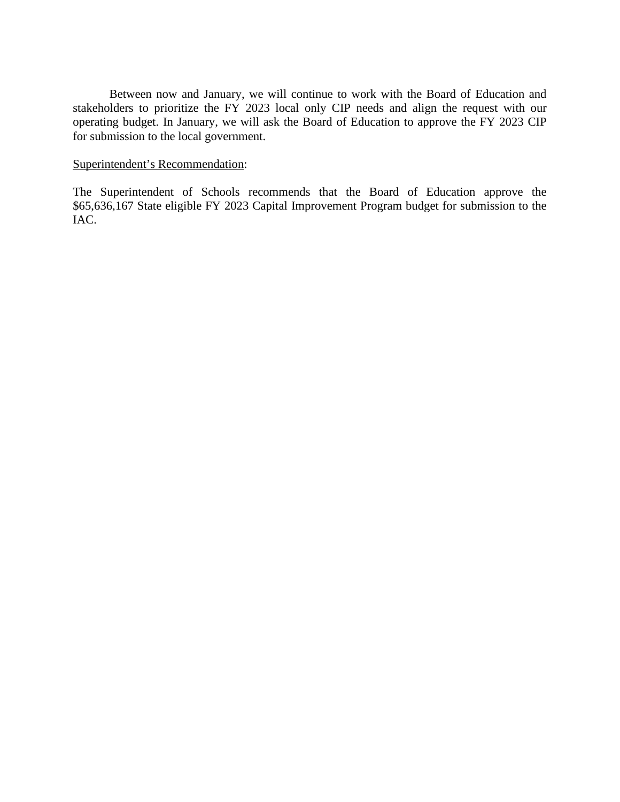Between now and January, we will continue to work with the Board of Education and stakeholders to prioritize the FY 2023 local only CIP needs and align the request with our operating budget. In January, we will ask the Board of Education to approve the FY 2023 CIP for submission to the local government.

#### Superintendent's Recommendation:

The Superintendent of Schools recommends that the Board of Education approve the \$65,636,167 State eligible FY 2023 Capital Improvement Program budget for submission to the IAC.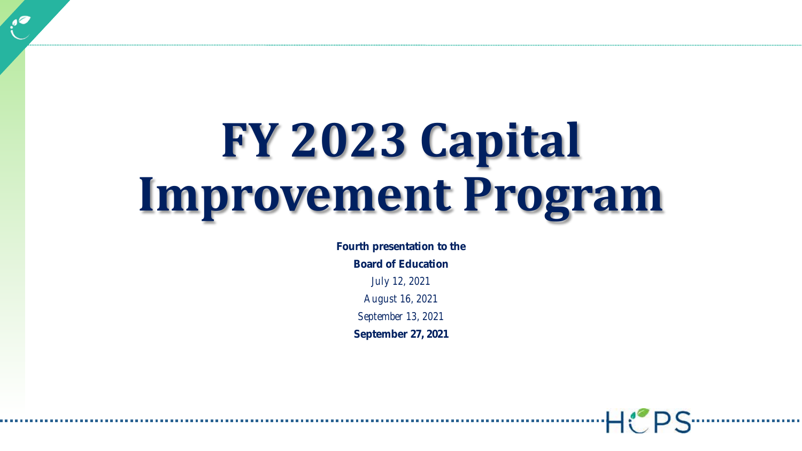# **FY 2023 Capital Improvement Program**

**Fourth presentation to the Board of Education**

*July 12, 2021*

*August 16, 2021*

*September 13, 2021*

**September 27, 2021**

H: PS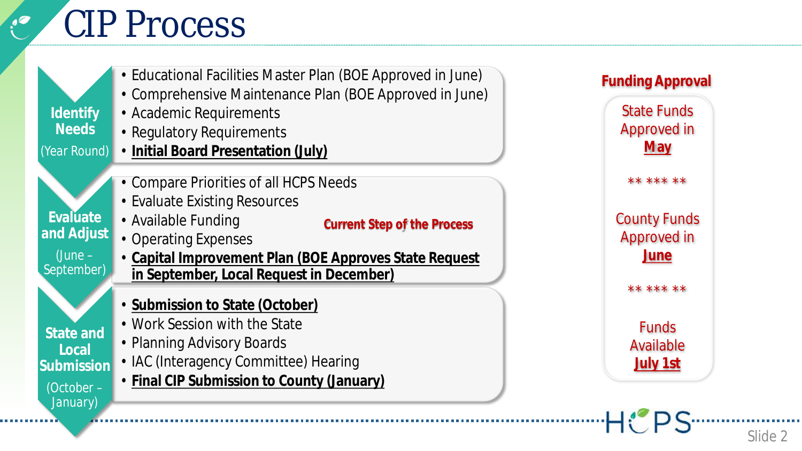## CIP Process

• Educational Facilities Master Plan (BOE Approved in June) • Comprehensive Maintenance Plan (BOE Approved in June) • Academic Requirements • Regulatory Requirements • **Initial Board Presentation (July)** • Compare Priorities of all HCPS Needs • Evaluate Existing Resources • Available Funding • Operating Expenses • **Capital Improvement Plan (BOE Approves State Request in September, Local Request in December)** • **Submission to State (October)** • Work Session with the State • Planning Advisory Boards • IAC (Interagency Committee) Hearing • **Final CIP Submission to County (January) Identify Needs** *(Year Round)* **Evaluate and Adjust** *(June – September)* **State and Local Submission** *(October – January) Current Step of the Process*



Slide 2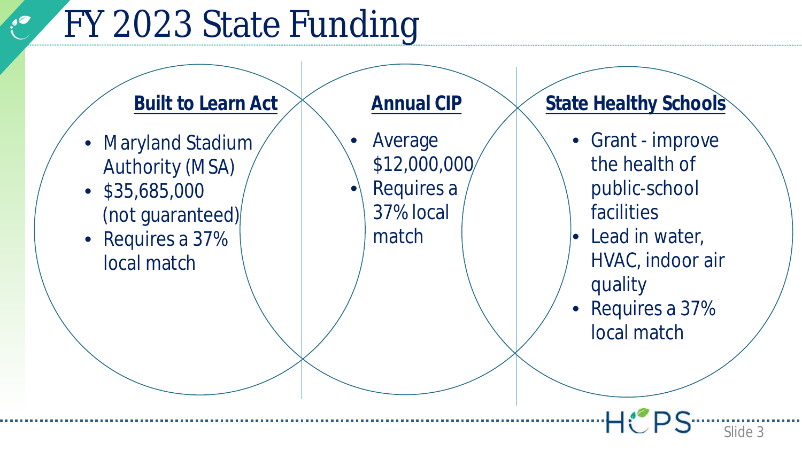## FY 2023 State Funding

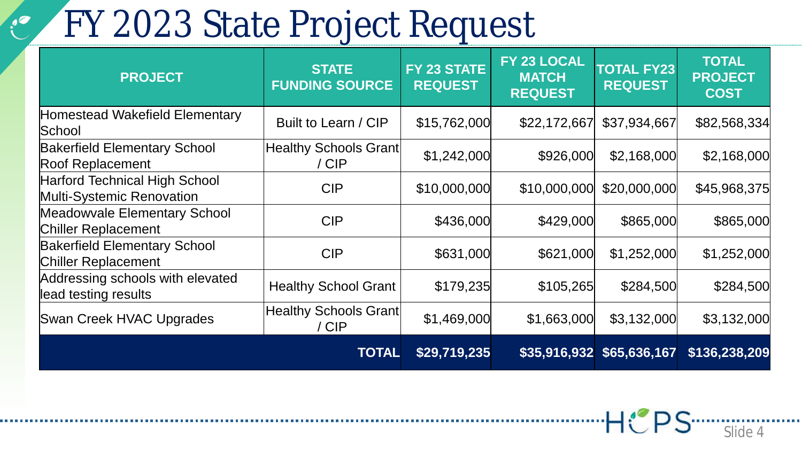## FY 2023 State Project Request

| <b>PROJECT</b>                                                    | <b>STATE</b><br><b>FUNDING SOURCE</b> | <b>FY 23 STATE</b><br><b>REQUEST</b> | <b>FY 23 LOCAL</b><br><b>MATCH</b><br><b>REQUEST</b> | <b>TOTAL FY23</b><br><b>REQUEST</b> | <b>TOTAL</b><br><b>PROJECT</b><br><b>COST</b> |
|-------------------------------------------------------------------|---------------------------------------|--------------------------------------|------------------------------------------------------|-------------------------------------|-----------------------------------------------|
| Homestead Wakefield Elementary<br>School                          | Built to Learn / CIP                  | \$15,762,000                         | \$22,172,667                                         | \$37,934,667                        | \$82,568,334                                  |
| <b>Bakerfield Elementary School</b><br><b>Roof Replacement</b>    | Healthy Schools Grant<br>/ CIP        | \$1,242,000                          | \$926,000                                            | \$2,168,000                         | \$2,168,000                                   |
| Harford Technical High School<br>Multi-Systemic Renovation        | <b>CIP</b>                            | \$10,000,000                         | \$10,000,000                                         | \$20,000,000                        | \$45,968,375                                  |
| Meadowvale Elementary School<br><b>Chiller Replacement</b>        | <b>CIP</b>                            | \$436,000                            | \$429,000                                            | \$865,000                           | \$865,000                                     |
| <b>Bakerfield Elementary School</b><br><b>Chiller Replacement</b> | <b>CIP</b>                            | \$631,000                            | \$621,000                                            | \$1,252,000                         | \$1,252,000                                   |
| Addressing schools with elevated<br>lead testing results          | <b>Healthy School Grant</b>           | \$179,235                            | \$105,265                                            | \$284,500                           | \$284,500                                     |
| Swan Creek HVAC Upgrades                                          | <b>Healthy Schools Grant</b><br>/ CIP | \$1,469,000                          | \$1,663,000                                          | \$3,132,000                         | \$3,132,000                                   |
|                                                                   | <b>TOTAL</b>                          | \$29,719,235                         |                                                      | \$35,916,932 \$65,636,167           | \$136,238,209                                 |

Slide 4

<sup>..</sup>H்ட்PS ······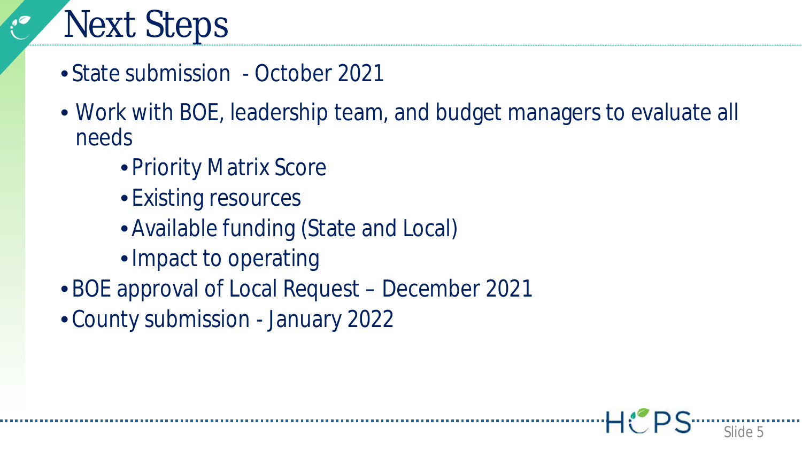## Next Steps

- State submission October 2021
- Work with BOE, leadership team, and budget managers to evaluate all needs

Slide 5

- Priority Matrix Score
- Existing resources
- •Available funding (State and Local)
- •Impact to operating
- •BOE approval of Local Request December 2021
- County submission January 2022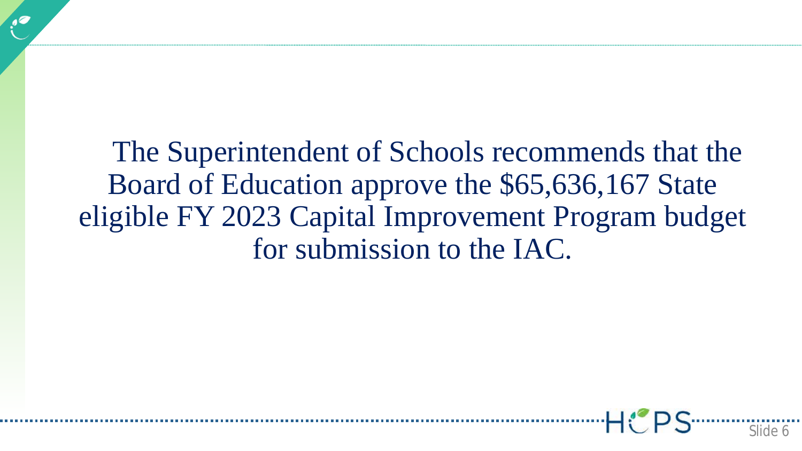The Superintendent of Schools recommends that the Board of Education approve the \$65,636,167 State eligible FY 2023 Capital Improvement Program budget for submission to the IAC.

Slide 6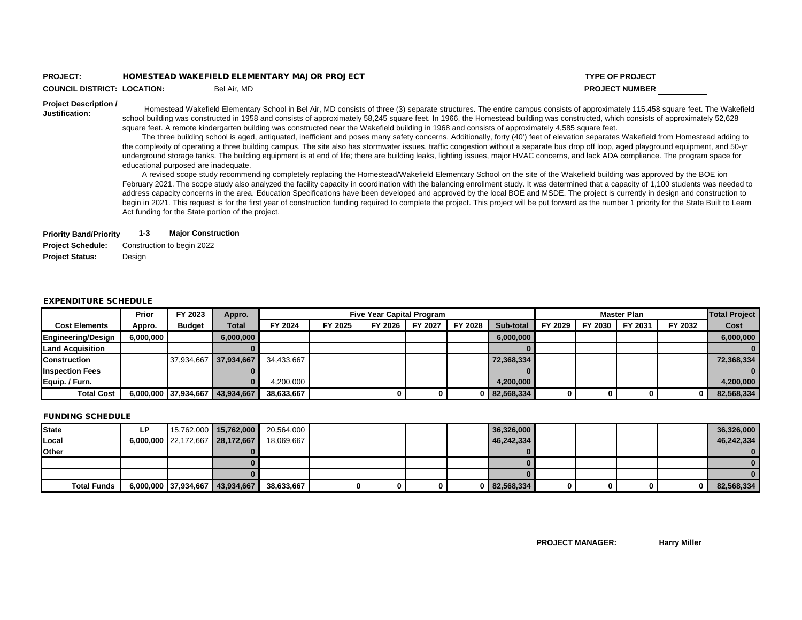#### **PROJECT:** HOMESTEAD WAKEFIELD ELEMENTARY MAJOR PROJECT **TYPE OF PROJECT**

**COUNCIL DISTRICT: LOCATION:** Bel Air, MD **PROJECT NUMBER**

#### **Project Description /**

**Justification:**

 Homestead Wakefield Elementary School in Bel Air, MD consists of three (3) separate structures. The entire campus consists of approximately 115,458 square feet. The Wakefield school building was constructed in 1958 and consists of approximately 58,245 square feet. In 1966, the Homestead building was constructed, which consists of approximately 52,628 square feet. A remote kindergarten building was constructed near the Wakefield building in 1968 and consists of approximately 4,585 square feet.

 The three building school is aged, antiquated, inefficient and poses many safety concerns. Additionally, forty (40') feet of elevation separates Wakefield from Homestead adding to the complexity of operating a three building campus. The site also has stormwater issues, traffic congestion without a separate bus drop off loop, aged playground equipment, and 50-yr underground storage tanks. The building equipment is at end of life; there are building leaks, lighting issues, major HVAC concerns, and lack ADA compliance. The program space for educational purposed are inadequate.

 A revised scope study recommending completely replacing the Homestead/Wakefield Elementary School on the site of the Wakefield building was approved by the BOE ion February 2021. The scope study also analyzed the facility capacity in coordination with the balancing enrollment study. It was determined that a capacity of 1,100 students was needed to address capacity concerns in the area. Education Specifications have been developed and approved by the local BOE and MSDE. The project is currently in design and construction to begin in 2021. This request is for the first year of construction funding required to complete the project. This project will be put forward as the number 1 priority for the State Built to Learn Act funding for the State portion of the project.

#### **Priority Band/Priority 1-3 Major Construction**

**Project Schedule:** Construction to begin 2022 **Project Status:** Design

#### EXPENDITURE SCHEDULE

|                           | Prior     | FY 2023              | Appro.       |            |         |         | <b>Five Year Capital Program</b> |         |              |         |         | <b>Master Plan</b> |         | <b>Total Project</b> |
|---------------------------|-----------|----------------------|--------------|------------|---------|---------|----------------------------------|---------|--------------|---------|---------|--------------------|---------|----------------------|
| <b>Cost Elements</b>      | Appro.    | <b>Budget</b>        | <b>Total</b> | FY 2024    | FY 2025 | FY 2026 | FY 2027                          | FY 2028 | Sub-total    | FY 2029 | FY 2030 | FY 2031            | FY 2032 | Cost                 |
| <b>Engineering/Design</b> | 6,000,000 |                      | 6,000,000    |            |         |         |                                  |         | 6,000,000    |         |         |                    |         | 6,000,000            |
| <b>Land Acquisition</b>   |           |                      |              |            |         |         |                                  |         |              |         |         |                    |         | $\bf{0}$             |
| <b>Construction</b>       |           | 37,934,667           | 37,934,667   | 34.433.667 |         |         |                                  |         | 72.368.334   |         |         |                    |         | 72,368,334           |
| <b>Inspection Fees</b>    |           |                      |              |            |         |         |                                  |         |              |         |         |                    |         | $\bf{0}$             |
| Equip. / Furn.            |           |                      |              | 4,200,000  |         |         |                                  |         | 4,200,000    |         |         |                    |         | 4,200,000            |
| <b>Total Cost</b>         |           | 6,000,000 37,934,667 | 43,934,667   | 38,633,667 |         |         |                                  |         | 0 82,568,334 |         |         |                    |         | 82,568,334           |

#### FUNDING SCHEDULE

| State              | <b>LP</b> |                                 | $15,762,000$   15,762,000   20,564,000 |   |  | 36,326,000       |  |  | 36,326,000   |
|--------------------|-----------|---------------------------------|----------------------------------------|---|--|------------------|--|--|--------------|
| Local              |           | 6,000,000 22,172,667 28,172,667 | 18,069,667                             |   |  | 46.242.334       |  |  | 46,242,334   |
| <b>Other</b>       |           |                                 |                                        |   |  |                  |  |  | $\bf{0}$     |
|                    |           |                                 |                                        |   |  |                  |  |  | $\mathbf{0}$ |
|                    |           |                                 |                                        |   |  |                  |  |  | $\mathbf{0}$ |
| <b>Total Funds</b> |           | 6,000,000 37,934,667 43,934,667 | 38,633,667                             | n |  | $0$   82,568,334 |  |  | 82,568,334   |

**PROJECT MANAGER: Harry Miller**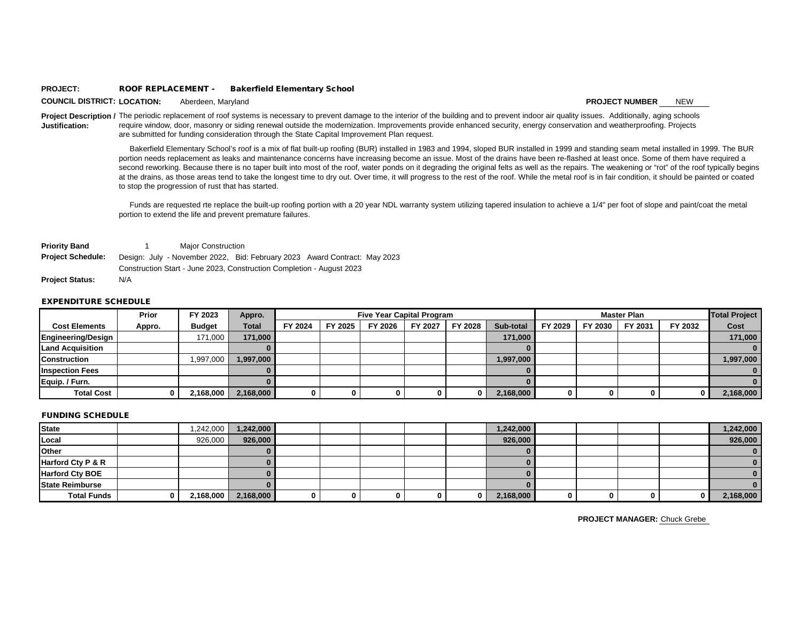#### **PROJECT:** ROOF REPLACEMENT - Bakerfield Elementary School

**COUNCIL DISTRICT: LOCATION:** Aberdeen, Maryland Abert Council 2009 and 2009 and 2009 and 2009 and 2009 and 2009 and 2009 and 2009 and 2009 and 2009 and 2009 and 2009 and 2009 and 2009 and 2009 and 2009 and 2009 and 2009 a Aberdeen, Maryland

Project Description / The periodic replacement of roof systems is necessary to prevent damage to the interior of the building and to prevent indoor air quality issues. Additionally, aging schools **Justification:** require window, door, masonry or siding renewal outside the modernization. Improvements provide enhanced security, energy conservation and weatherproofing. Projects are submitted for funding consideration through the State Capital Improvement Plan request.

> Bakerfield Elementary School's roof is a mix of flat built-up roofing (BUR) installed in 1983 and 1994, sloped BUR installed in 1999 and standing seam metal installed in 1999. The BUR portion needs replacement as leaks and maintenance concerns have increasing become an issue. Most of the drains have been re-flashed at least once. Some of them have required a second reworking. Because there is no taper built into most of the roof, water ponds on it degrading the original felts as well as the repairs. The weakening or "rot" of the roof typically begins at the drains, as those areas tend to take the longest time to dry out. Over time, it will progress to the rest of the roof. While the metal roof is in fair condition, it should be painted or coated to stop the progression of rust that has started.

Funds are requested rte replace the built-up roofing portion with a 20 year NDL warranty system utilizing tapered insulation to achieve a 1/4" per foot of slope and paint/coat the metal portion to extend the life and prevent premature failures.

**Priority Band** 1 Major Construction **Project Schedule:** Design: July - November 2022, Bid: February 2023 Award Contract: May 2023 Construction Start - June 2023, Construction Completion - August 2023 **Project Status:** N/A

#### EXPENDITURE SCHEDULE

|                         | Prior  | FY 2023       | Appro.       |         |         | <b>Five Year Capital Program</b> |         |         |           |         |         | <b>Master Plan</b> |         | <b>Total Project</b> |
|-------------------------|--------|---------------|--------------|---------|---------|----------------------------------|---------|---------|-----------|---------|---------|--------------------|---------|----------------------|
| <b>Cost Elements</b>    | Appro. | <b>Budget</b> | <b>Total</b> | FY 2024 | FY 2025 | FY 2026                          | FY 2027 | FY 2028 | Sub-total | FY 2029 | FY 2030 | FY 2031            | FY 2032 | Cost                 |
| Engineering/Design      |        | 171,000       | 171,000      |         |         |                                  |         |         | 171.000   |         |         |                    |         | 171,000              |
| <b>Land Acquisition</b> |        |               |              |         |         |                                  |         |         |           |         |         |                    |         | $\mathbf{0}$         |
| <b>Construction</b>     |        | 1,997,000     | 1,997,000    |         |         |                                  |         |         | 1,997,000 |         |         |                    |         | 1,997,000            |
| <b>Inspection Fees</b>  |        |               |              |         |         |                                  |         |         |           |         |         |                    |         | $\mathbf{0}$         |
| Equip. / Furn.          |        |               |              |         |         |                                  |         |         |           |         |         |                    |         | $\mathbf{0}$         |
| <b>Total Cost</b>       |        | 2,168,000     | 2,168,000    | 0       |         |                                  |         |         | 2,168,000 |         |         |                    | 0.      | 2,168,000            |

#### FUNDING SCHEDULE

| <b>State</b>           | 1,242,000 | 1,242,000 |  |  | 1,242,000 |  |  | 1,242,000 |
|------------------------|-----------|-----------|--|--|-----------|--|--|-----------|
| Local                  | 926,000   | 926,000   |  |  | 926,000   |  |  | 926,000   |
| <b>Other</b>           |           |           |  |  |           |  |  |           |
| Harford Cty P & R      |           |           |  |  |           |  |  |           |
| <b>Harford Cty BOE</b> |           |           |  |  |           |  |  |           |
| <b>State Reimburse</b> |           |           |  |  |           |  |  |           |
| <b>Total Funds</b>     | 2,168,000 | 2,168,000 |  |  | 2,168,000 |  |  | 2,168,000 |

**PROJECT MANAGER:** Chuck Grebe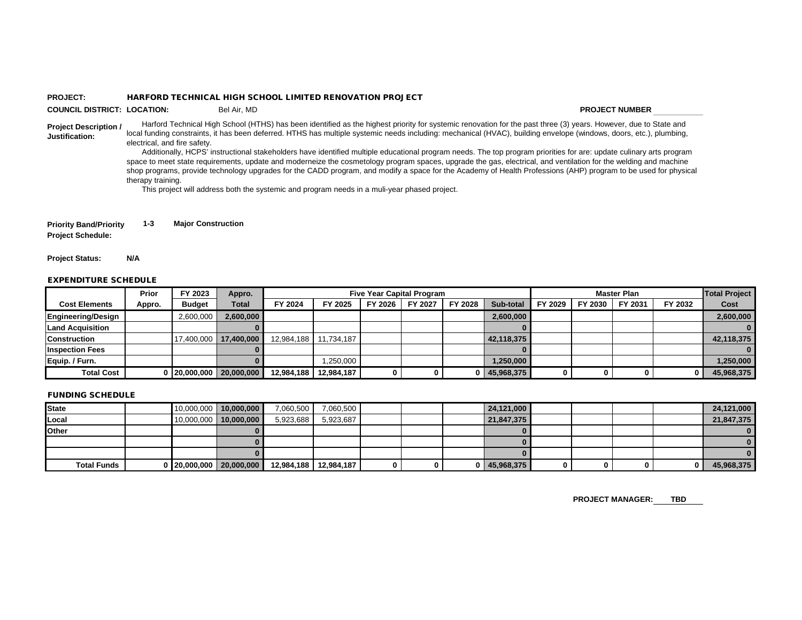#### **PROJECT:** HARFORD TECHNICAL HIGH SCHOOL LIMITED RENOVATION PROJECT

**COUNCIL DISTRICT: LOCATION:** Bel Air, MD **PROJECT NUMBER**

**Project Description / Justification:** Harford Technical High School (HTHS) has been identified as the highest priority for systemic renovation for the past three (3) years. However, due to State and local funding constraints, it has been deferred. HTHS has multiple systemic needs including: mechanical (HVAC), building envelope (windows, doors, etc.), plumbing, electrical, and fire safety.

Additionally, HCPS' instructional stakeholders have identified multiple educational program needs. The top program priorities for are: update culinary arts program space to meet state requirements, update and moderneize the cosmetology program spaces, upgrade the gas, electrical, and ventilation for the welding and machine shop programs, provide technology upgrades for the CADD program, and modify a space for the Academy of Health Professions (AHP) program to be used for physical therapy training.

This project will address both the systemic and program needs in a muli-year phased project.

**Priority Band/Priority 1-3 Major Construction Project Schedule:**

#### **Project Status: N/A**

#### EXPENDITURE SCHEDULE

|                           | Prior  | FY 2023       | Appro.       |            |            |         | <b>Five Year Capital Program</b> |         |            |         |         | <b>Master Plan</b> |         | <b>Total Project</b> |
|---------------------------|--------|---------------|--------------|------------|------------|---------|----------------------------------|---------|------------|---------|---------|--------------------|---------|----------------------|
| <b>Cost Elements</b>      | Appro. | <b>Budget</b> | <b>Total</b> | FY 2024    | FY 2025    | FY 2026 | FY 2027                          | FY 2028 | Sub-total  | FY 2029 | FY 2030 | FY 2031            | FY 2032 | Cost                 |
| <b>Engineering/Design</b> |        | 2,600,000     | 2.600.000    |            |            |         |                                  |         | 2,600,000  |         |         |                    |         | 2,600,000            |
| Land Acquisition          |        |               |              |            |            |         |                                  |         |            |         |         |                    |         |                      |
| <b>Construction</b>       |        | 17,400,000    | 17.400.000   | 12.984.188 | 11,734,187 |         |                                  |         | 42,118,375 |         |         |                    |         | 42,118,375           |
| <b>Inspection Fees</b>    |        |               |              |            |            |         |                                  |         |            |         |         |                    |         |                      |
| Equip. / Furn.            |        |               |              |            | .250,000   |         |                                  |         | 1,250,000  |         |         |                    |         | 1,250,000            |
| <b>Total Cost</b>         |        | 20,000,000    | 20,000,000   | 12,984,188 | 12,984,187 |         |                                  |         | 45,968,375 |         |         |                    | 0       | 45,968,375           |

#### FUNDING SCHEDULE

| State              |  | 10,000,000   10,000,000 | 7,060,500  | 7,060,500  |  | 24.121.000       |  |   |   | 24,121,000 |
|--------------------|--|-------------------------|------------|------------|--|------------------|--|---|---|------------|
| Local              |  | 10,000,000 10,000,000   | 5.923.688  | 5,923,687  |  | 21,847,375       |  |   |   | 21,847,375 |
| <b>I</b> Other     |  |                         |            |            |  |                  |  |   |   |            |
|                    |  |                         |            |            |  |                  |  |   |   |            |
|                    |  |                         |            |            |  |                  |  |   |   |            |
| <b>Total Funds</b> |  | 0 20,000,000 20,000,000 | 12,984,188 | 12,984,187 |  | $0$   45,968,375 |  | o | 0 | 45,968,375 |

**PROJECT MANAGER: TBD**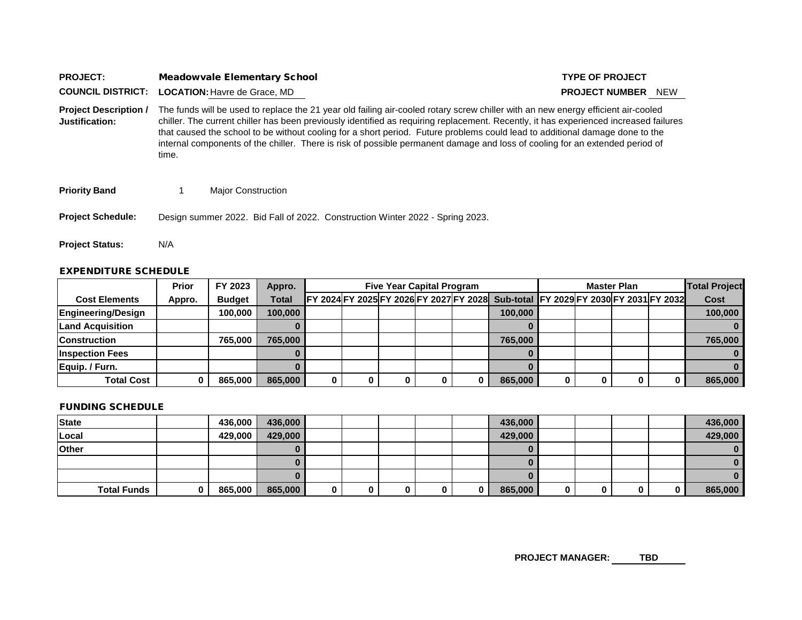| <b>PROJECT:</b>                                | <b>Meadowvale Elementary School</b>                                                                                                                                                                                                                                                                                                                                                                                                                                                                                                                 | <b>TYPE OF PROJECT</b>    |
|------------------------------------------------|-----------------------------------------------------------------------------------------------------------------------------------------------------------------------------------------------------------------------------------------------------------------------------------------------------------------------------------------------------------------------------------------------------------------------------------------------------------------------------------------------------------------------------------------------------|---------------------------|
| <b>COUNCIL DISTRICT:</b>                       | <b>LOCATION: Havre de Grace, MD</b>                                                                                                                                                                                                                                                                                                                                                                                                                                                                                                                 | <b>PROJECT NUMBER NEW</b> |
| <b>Project Description /</b><br>Justification: | The funds will be used to replace the 21 year old failing air-cooled rotary screw chiller with an new energy efficient air-cooled<br>chiller. The current chiller has been previously identified as requiring replacement. Recently, it has experienced increased failures<br>that caused the school to be without cooling for a short period. Future problems could lead to additional damage done to the<br>internal components of the chiller. There is risk of possible permanent damage and loss of cooling for an extended period of<br>time. |                           |
| <b>Priority Band</b>                           | <b>Major Construction</b>                                                                                                                                                                                                                                                                                                                                                                                                                                                                                                                           |                           |
| <b>Project Schedule:</b>                       | Design summer 2022. Bid Fall of 2022. Construction Winter 2022 - Spring 2023.                                                                                                                                                                                                                                                                                                                                                                                                                                                                       |                           |
| <b>Project Status:</b>                         | N/A                                                                                                                                                                                                                                                                                                                                                                                                                                                                                                                                                 |                           |

#### EXPENDITURE SCHEDULE

|                         | Prior  | FY 2023       | Appro.  |  | <b>Five Year Capital Program</b> |  |                                                                                   |   | <b>Master Plan</b> | <b>Total Project</b> |
|-------------------------|--------|---------------|---------|--|----------------------------------|--|-----------------------------------------------------------------------------------|---|--------------------|----------------------|
| <b>Cost Elements</b>    | Appro. | <b>Budget</b> | Total   |  |                                  |  | FY 2024 FY 2025 FY 2026 FY 2027 FY 2028 Sub-total FY 2029 FY 2030 FY 2031 FY 2032 |   |                    | <b>Cost</b>          |
| Engineering/Design      |        | 100,000       | 100.000 |  |                                  |  | 100.000                                                                           |   |                    | 100,000              |
| <b>Land Acquisition</b> |        |               |         |  |                                  |  |                                                                                   |   |                    |                      |
| <b>Construction</b>     |        | 765.000       | 765,000 |  |                                  |  | 765.000                                                                           |   |                    | 765,000              |
| <b>Inspection Fees</b>  |        |               |         |  |                                  |  |                                                                                   |   |                    |                      |
| Equip. / Furn.          |        |               |         |  |                                  |  |                                                                                   |   |                    |                      |
| <b>Total Cost</b>       |        | 865,000       | 865,000 |  |                                  |  | 865.000                                                                           | 0 |                    | 865,000              |

#### FUNDING SCHEDULE

| <b>State</b>       | 436,000 | 436,000 |   |   |   |          |          | 436,000 |  |  | 436,000 |
|--------------------|---------|---------|---|---|---|----------|----------|---------|--|--|---------|
| Local              | 429,000 | 429,000 |   |   |   |          |          | 429,000 |  |  | 429,000 |
| <b>Other</b>       |         |         |   |   |   |          |          |         |  |  | 0       |
|                    |         |         |   |   |   |          |          |         |  |  | 0       |
|                    |         |         |   |   |   |          |          |         |  |  | 0       |
| <b>Total Funds</b> | 865,000 | 865,000 | 0 | 0 | 0 | $\bf{0}$ | $\bf{0}$ | 865,000 |  |  | 865,000 |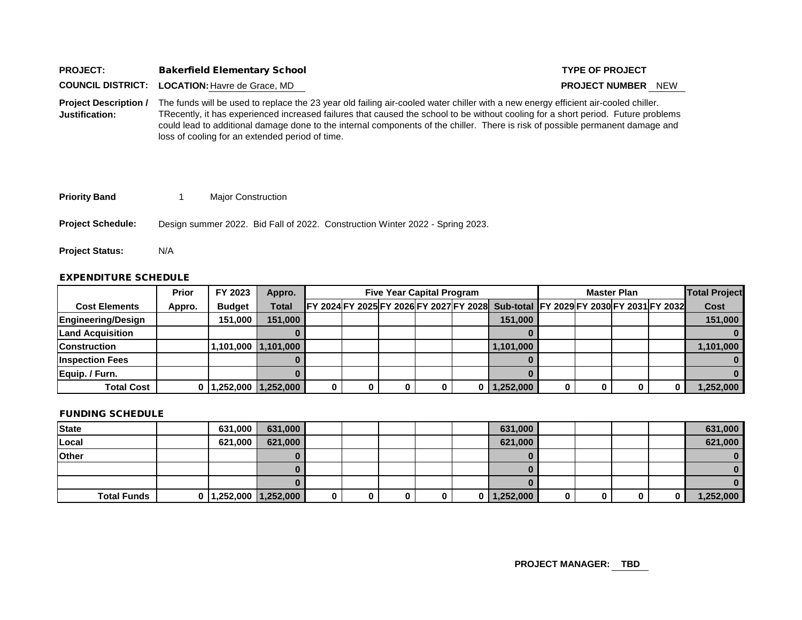| <b>PROJECT:</b>              | <b>Bakerfield Elementary School</b>                                                                                                | <b>TYPE OF PROJECT</b>       |
|------------------------------|------------------------------------------------------------------------------------------------------------------------------------|------------------------------|
|                              | <b>COUNCIL DISTRICT: LOCATION: Havre de Grace, MD</b>                                                                              | <b>PROJECT NUMBER</b><br>NEW |
| <b>Project Description /</b> | The funds will be used to replace the 23 year old failing air-cooled water chiller with a new energy efficient air-cooled chiller. |                              |
| Justification:               | TRecently, it has experienced increased failures that caused the school to be without cooling for a short period. Future problems  |                              |

**Justification:** TRecently, it has experienced increased failures that caused the school to be without cooling for a short period. Future problems could lead to additional damage done to the internal components of the chiller. There is risk of possible permanent damage and loss of cooling for an extended period of time.

| <b>Priority Band</b> |  | Major Construction |
|----------------------|--|--------------------|
|----------------------|--|--------------------|

**Project Schedule:** Design summer 2022. Bid Fall of 2022. Construction Winter 2022 - Spring 2023.

**Project Status:** N/A

#### EXPENDITURE SCHEDULE

|                         | <b>Prior</b> | FY 2023               | Appro.              |   | <b>Five Year Capital Program</b> |  |  |  |                                                                                   |  | <b>Total Project</b> |           |
|-------------------------|--------------|-----------------------|---------------------|---|----------------------------------|--|--|--|-----------------------------------------------------------------------------------|--|----------------------|-----------|
| <b>Cost Elements</b>    | Appro.       | <b>Budget</b>         | <b>Total</b>        |   |                                  |  |  |  | FY 2024 FY 2025 FY 2026 FY 2027 FY 2028 Sub-total FY 2029 FY 2030 FY 2031 FY 2032 |  |                      | Cost      |
| Engineering/Design      |              | 151,000               | 151.000             |   |                                  |  |  |  | 151.000                                                                           |  |                      | 151,000   |
| <b>Land Acquisition</b> |              |                       |                     |   |                                  |  |  |  |                                                                                   |  |                      |           |
| <b>Construction</b>     |              |                       | 1,101,000 1,101,000 |   |                                  |  |  |  | 1,101,000                                                                         |  |                      | 1,101,000 |
| <b>Inspection Fees</b>  |              |                       |                     |   |                                  |  |  |  |                                                                                   |  |                      |           |
| Equip. / Furn.          |              |                       |                     |   |                                  |  |  |  |                                                                                   |  |                      |           |
| <b>Total Cost</b>       |              | 0 1,252,000 1,252,000 |                     | 0 |                                  |  |  |  | $0$   1,252,000                                                                   |  |                      | 1,252,000 |

#### FUNDING SCHEDULE

| State              | 631,000 | 631,000                     |             |   |   |             | 631,000     |  |     | 631,000   |
|--------------------|---------|-----------------------------|-------------|---|---|-------------|-------------|--|-----|-----------|
| Local              | 621,000 | 621,000                     |             |   |   |             | 621,000     |  |     | 621,000   |
| Other              |         |                             |             |   |   |             |             |  |     | 0         |
|                    |         |                             |             |   |   |             |             |  |     | 0         |
|                    |         |                             |             |   |   |             |             |  |     |           |
| <b>Total Funds</b> |         | $0$   1,252,000   1,252,000 | $\mathbf 0$ | 0 | 0 | $\mathbf 0$ | 0 1,252,000 |  | 0 I | 1,252,000 |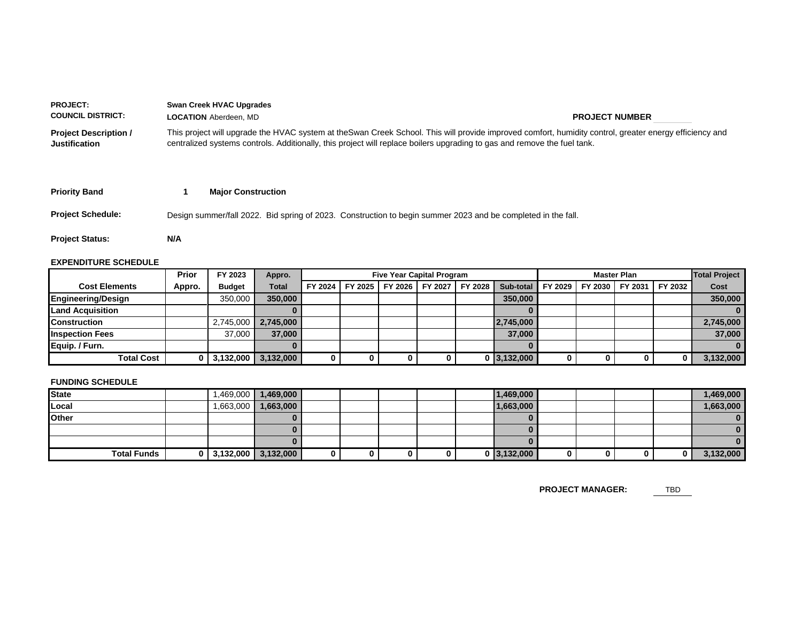| <b>PROJECT:</b><br><b>COUNCIL DISTRICT:</b>          | <b>Swan Creek HVAC Upgrades</b><br><b>LOCATION: Aberdeen, MD</b>                                                         | <b>PROJECT NUMBER</b>                                                                                                                                  |
|------------------------------------------------------|--------------------------------------------------------------------------------------------------------------------------|--------------------------------------------------------------------------------------------------------------------------------------------------------|
| <b>Project Description /</b><br><b>Justification</b> | centralized systems controls. Additionally, this project will replace boilers upgrading to gas and remove the fuel tank. | This project will upgrade the HVAC system at theSwan Creek School. This will provide improved comfort, humidity control, greater energy efficiency and |
| <b>Priority Band</b>                                 | <b>Major Construction</b>                                                                                                |                                                                                                                                                        |
| <b>Project Schedule:</b>                             | Design summer/fall 2022. Bid spring of 2023. Construction to begin summer 2023 and be completed in the fall.             |                                                                                                                                                        |
| <b>Project Status:</b>                               | N/A                                                                                                                      |                                                                                                                                                        |

#### **EXPENDITURE SCHEDULE**

|                           | Prior  | FY 2023       | Appro.       |         |         | <b>Five Year Capital Program</b> |         |                    |         | <b>Total Project</b> |         |         |           |
|---------------------------|--------|---------------|--------------|---------|---------|----------------------------------|---------|--------------------|---------|----------------------|---------|---------|-----------|
| <b>Cost Elements</b>      | Appro. | <b>Budget</b> | <b>Total</b> | FY 2024 | FY 2025 | FY 2026 FY 2027                  | FY 2028 | Sub-total          | FY 2029 | FY 2030              | FY 2031 | FY 2032 | Cost      |
| <b>Engineering/Design</b> |        | 350,000       | 350.000      |         |         |                                  |         | 350,000            |         |                      |         |         | 350,000   |
| <b>Land Acquisition</b>   |        |               |              |         |         |                                  |         |                    |         |                      |         |         |           |
| <b>Construction</b>       |        | 2.745.000     | 2,745,000    |         |         |                                  |         | 2,745,000          |         |                      |         |         | 2,745,000 |
| <b>Inspection Fees</b>    |        | 37,000        | 37,000       |         |         |                                  |         | 37,000             |         |                      |         |         | 37,000    |
| Equip. / Furn.            |        |               |              |         |         |                                  |         |                    |         |                      |         |         |           |
| <b>Total Cost</b>         |        | $0$ 3,132,000 | 3,132,000    | 0       |         |                                  |         | $0 \mid 3,132,000$ | 0       |                      | o       | 0       | 3,132,000 |

#### **FUNDING SCHEDULE**

| <b>State</b>       | ,469,000      | 1,469,000 |  |  | 1,469,000          |  |   | 1,469,000 |
|--------------------|---------------|-----------|--|--|--------------------|--|---|-----------|
| Local              | 1,663,000     | 1,663,000 |  |  | 1,663,000          |  |   | 1,663,000 |
| <b>Other</b>       |               |           |  |  |                    |  |   |           |
|                    |               |           |  |  |                    |  |   |           |
|                    |               |           |  |  |                    |  |   |           |
| <b>Total Funds</b> | $0$ 3,132,000 | 3,132,000 |  |  | $0 \mid 3,132,000$ |  | 0 | 3,132,000 |

**PROJECT MANAGER:** TBD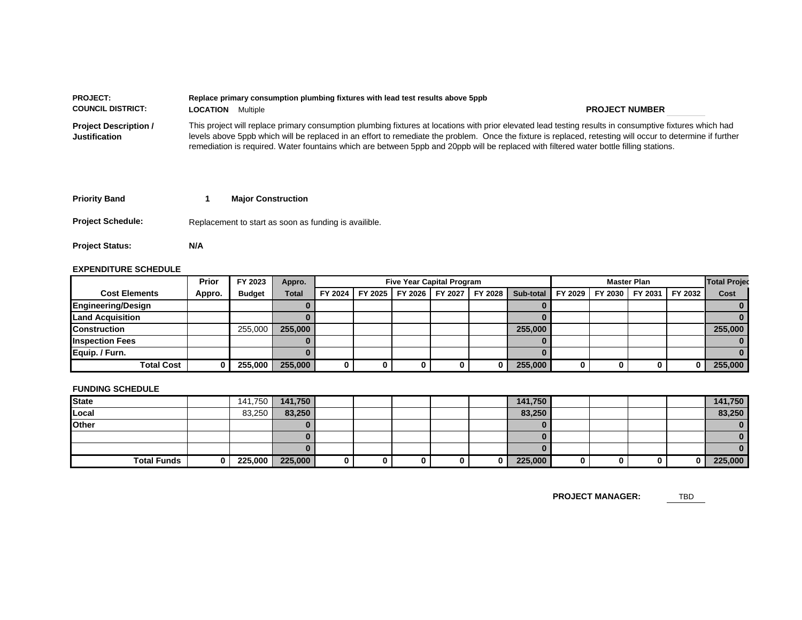| <b>PROJECT:</b><br><b>COUNCIL DISTRICT:</b>   | Replace primary consumption plumbing fixtures with lead test results above 5ppb                                                         |                                                                                                                                                                                                                                                                                                                       |
|-----------------------------------------------|-----------------------------------------------------------------------------------------------------------------------------------------|-----------------------------------------------------------------------------------------------------------------------------------------------------------------------------------------------------------------------------------------------------------------------------------------------------------------------|
|                                               | Multiple<br><b>LOCATION</b>                                                                                                             | <b>PROJECT NUMBER</b>                                                                                                                                                                                                                                                                                                 |
| <b>Project Description /</b><br>Justification | remediation is required. Water fountains which are between 5ppb and 20ppb will be replaced with filtered water bottle filling stations. | This project will replace primary consumption plumbing fixtures at locations with prior elevated lead testing results in consumptive fixtures which had<br>levels above 5ppb which will be replaced in an effort to remediate the problem. Once the fixture is replaced, retesting will occur to determine if further |

| <b>Priority Band</b>     | <b>Major Construction</b>                             |
|--------------------------|-------------------------------------------------------|
| <b>Project Schedule:</b> | Replacement to start as soon as funding is availible. |

### **EXPENDITURE SCHEDULE**

**Project Status: N/A**

|                         | Prior  | FY 2023       | Appro.       |         | <b>Five Year Capital Program</b> |  |                                 |  |                                         |  | <b>Total Projec</b><br><b>Master Plan</b> |  |         |         |  |
|-------------------------|--------|---------------|--------------|---------|----------------------------------|--|---------------------------------|--|-----------------------------------------|--|-------------------------------------------|--|---------|---------|--|
| <b>Cost Elements</b>    | Appro. | <b>Budget</b> | <b>Total</b> | FY 2024 |                                  |  | FY 2025 FY 2026 FY 2027 FY 2028 |  | Sub-total   FY 2029   FY 2030   FY 2031 |  |                                           |  | FY 2032 | Cost    |  |
| Engineering/Design      |        |               |              |         |                                  |  |                                 |  |                                         |  |                                           |  |         |         |  |
| <b>Land Acquisition</b> |        |               |              |         |                                  |  |                                 |  |                                         |  |                                           |  |         |         |  |
| <b>Construction</b>     |        | 255,000       | 255,000      |         |                                  |  |                                 |  | 255,000                                 |  |                                           |  |         | 255,000 |  |
| <b>Inspection Fees</b>  |        |               |              |         |                                  |  |                                 |  |                                         |  |                                           |  |         |         |  |
| Equip. / Furn.          |        |               |              |         |                                  |  |                                 |  |                                         |  |                                           |  |         |         |  |
| <b>Total Cost</b>       |        | 255,000       | 255,000      | 0       |                                  |  |                                 |  | 255,000                                 |  |                                           |  |         | 255,000 |  |

#### **FUNDING SCHEDULE**

| <b>State</b>       | 141,750 | 141,750 |  |  |   | 141,750 |  |  | 141,750      |
|--------------------|---------|---------|--|--|---|---------|--|--|--------------|
| Local              | 83,250  | 83,250  |  |  |   | 83,250  |  |  | 83,250       |
| <b>Other</b>       |         |         |  |  |   |         |  |  | $\mathbf{0}$ |
|                    |         |         |  |  |   |         |  |  | $\bf{0}$     |
|                    |         |         |  |  |   |         |  |  | $\bf{0}$     |
| <b>Total Funds</b> | 225,000 | 225,000 |  |  | 0 | 225,000 |  |  | 225,000      |

**PROJECT MANAGER:** TBD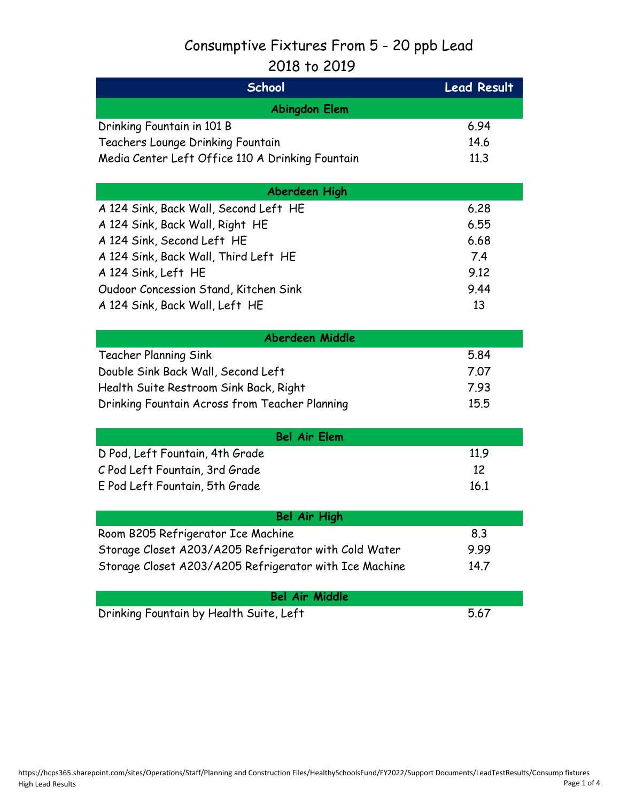## Consumptive Fixtures From 5 - 20 ppb Lead

### 2018 to 2019

| School                                                 | <b>Lead Result</b> |  |  |  |  |  |  |  |  |
|--------------------------------------------------------|--------------------|--|--|--|--|--|--|--|--|
| <b>Abingdon Elem</b>                                   |                    |  |  |  |  |  |  |  |  |
| Drinking Fountain in 101 B                             | 6.94               |  |  |  |  |  |  |  |  |
| Teachers Lounge Drinking Fountain                      | 14.6               |  |  |  |  |  |  |  |  |
| Media Center Left Office 110 A Drinking Fountain       | 11.3               |  |  |  |  |  |  |  |  |
|                                                        |                    |  |  |  |  |  |  |  |  |
| Aberdeen High                                          |                    |  |  |  |  |  |  |  |  |
| A 124 Sink, Back Wall, Second Left HE                  | 6.28               |  |  |  |  |  |  |  |  |
| A 124 Sink, Back Wall, Right HE                        | 6.55               |  |  |  |  |  |  |  |  |
| A 124 Sink, Second Left HE                             | 6.68               |  |  |  |  |  |  |  |  |
| A 124 Sink, Back Wall, Third Left HE                   | 7.4                |  |  |  |  |  |  |  |  |
| A 124 Sink, Left HE                                    | 9.12               |  |  |  |  |  |  |  |  |
| Oudoor Concession Stand, Kitchen Sink                  | 9.44               |  |  |  |  |  |  |  |  |
| A 124 Sink, Back Wall, Left HE                         | 13                 |  |  |  |  |  |  |  |  |
|                                                        |                    |  |  |  |  |  |  |  |  |
| <b>Aberdeen Middle</b>                                 |                    |  |  |  |  |  |  |  |  |
| Teacher Planning Sink                                  | 5.84               |  |  |  |  |  |  |  |  |
| Double Sink Back Wall, Second Left                     | 7.07               |  |  |  |  |  |  |  |  |
| Health Suite Restroom Sink Back, Right                 | 7.93               |  |  |  |  |  |  |  |  |
| Drinking Fountain Across from Teacher Planning         | 15.5               |  |  |  |  |  |  |  |  |
|                                                        |                    |  |  |  |  |  |  |  |  |
| <b>Bel Air Elem</b>                                    |                    |  |  |  |  |  |  |  |  |
| D Pod, Left Fountain, 4th Grade                        | 11.9               |  |  |  |  |  |  |  |  |
| C Pod Left Fountain, 3rd Grade                         | 12                 |  |  |  |  |  |  |  |  |
| E Pod Left Fountain, 5th Grade                         | 16.1               |  |  |  |  |  |  |  |  |
|                                                        |                    |  |  |  |  |  |  |  |  |
| Bel Air High                                           |                    |  |  |  |  |  |  |  |  |
| Room B205 Refrigerator Ice Machine                     | 8.3                |  |  |  |  |  |  |  |  |
| Storage Closet A203/A205 Refrigerator with Cold Water  | 9.99               |  |  |  |  |  |  |  |  |
| Storage Closet A203/A205 Refrigerator with Ice Machine | 14.7               |  |  |  |  |  |  |  |  |
| <b>Bel Air Middle</b>                                  |                    |  |  |  |  |  |  |  |  |
| Drinking Fountain by Health Suite, Left                | 5.67               |  |  |  |  |  |  |  |  |
|                                                        |                    |  |  |  |  |  |  |  |  |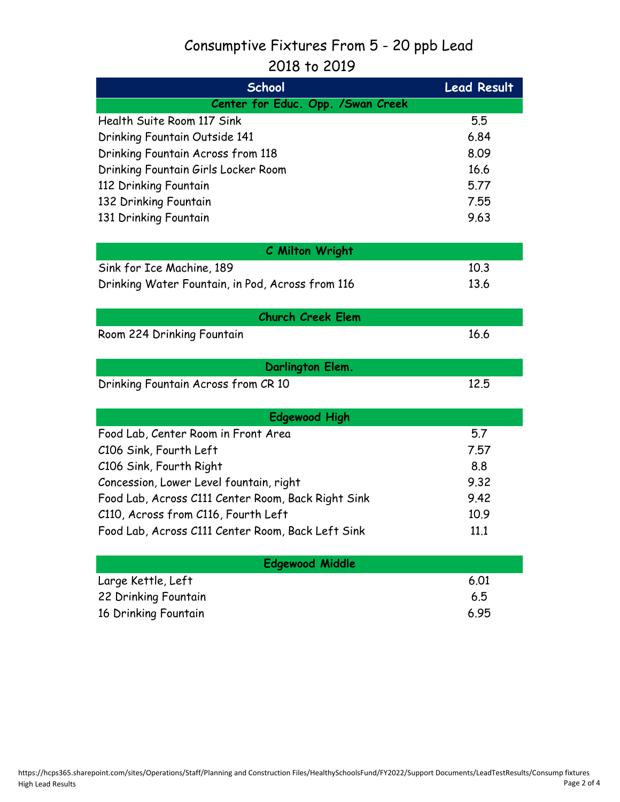## Consumptive Fixtures From 5 - 20 ppb Lead

## $2018 + 2010$

| <b>CUIO 10 CUIS</b>                                |                    |  |  |  |  |  |  |  |  |
|----------------------------------------------------|--------------------|--|--|--|--|--|--|--|--|
| <b>School</b>                                      | <b>Lead Result</b> |  |  |  |  |  |  |  |  |
| Center for Educ. Opp. / Swan Creek                 |                    |  |  |  |  |  |  |  |  |
| Health Suite Room 117 Sink                         | 5.5                |  |  |  |  |  |  |  |  |
| Drinking Fountain Outside 141                      | 6.84               |  |  |  |  |  |  |  |  |
| Drinking Fountain Across from 118                  | 8.09               |  |  |  |  |  |  |  |  |
| Drinking Fountain Girls Locker Room                | 16.6               |  |  |  |  |  |  |  |  |
| 112 Drinking Fountain                              | 5.77               |  |  |  |  |  |  |  |  |
| 132 Drinking Fountain                              | 7.55               |  |  |  |  |  |  |  |  |
| 131 Drinking Fountain                              | 9.63               |  |  |  |  |  |  |  |  |
| C Milton Wright                                    |                    |  |  |  |  |  |  |  |  |
| Sink for Ice Machine, 189                          | 10.3               |  |  |  |  |  |  |  |  |
| Drinking Water Fountain, in Pod, Across from 116   | 13.6               |  |  |  |  |  |  |  |  |
|                                                    |                    |  |  |  |  |  |  |  |  |
| <b>Church Creek Elem</b>                           |                    |  |  |  |  |  |  |  |  |
| Room 224 Drinking Fountain                         | 16.6               |  |  |  |  |  |  |  |  |
| Darlington Elem.                                   |                    |  |  |  |  |  |  |  |  |
| Drinking Fountain Across from CR 10                | 12.5               |  |  |  |  |  |  |  |  |
|                                                    |                    |  |  |  |  |  |  |  |  |
| <b>Edgewood High</b>                               |                    |  |  |  |  |  |  |  |  |
| Food Lab, Center Room in Front Area                | 5.7                |  |  |  |  |  |  |  |  |
| C106 Sink, Fourth Left                             | 7.57               |  |  |  |  |  |  |  |  |
| C106 Sink, Fourth Right                            | 8.8                |  |  |  |  |  |  |  |  |
| Concession, Lower Level fountain, right            | 9.32               |  |  |  |  |  |  |  |  |
| Food Lab, Across C111 Center Room, Back Right Sink | 9.42               |  |  |  |  |  |  |  |  |
| C110, Across from C116, Fourth Left                | 10.9               |  |  |  |  |  |  |  |  |
| Food Lab, Across C111 Center Room, Back Left Sink  | 11.1               |  |  |  |  |  |  |  |  |
|                                                    |                    |  |  |  |  |  |  |  |  |

| <b>Edgewood Middle</b> |      |
|------------------------|------|
| Large Kettle, Left     | 6.01 |
| 22 Drinking Fountain   | 6.5  |
| 16 Drinking Fountain   | 6.95 |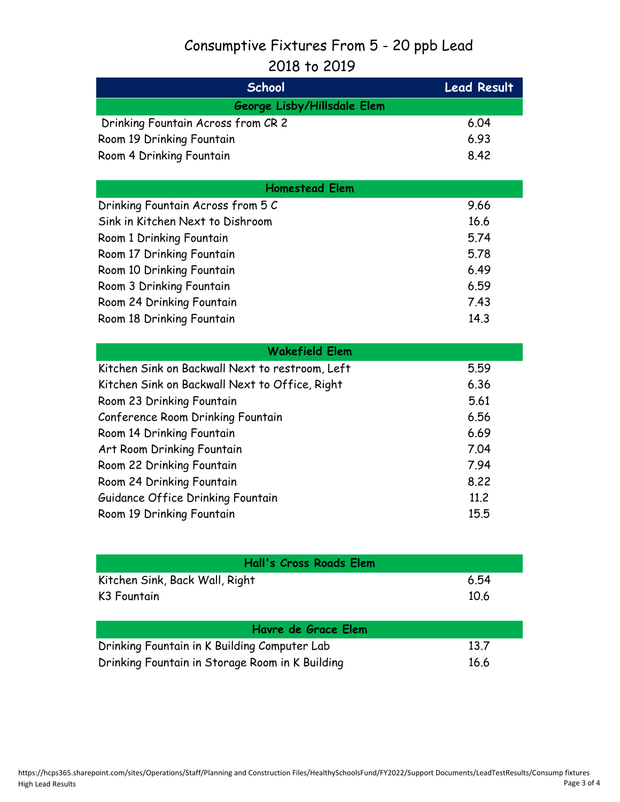## Consumptive Fixtures From 5 - 20 ppb Lead

### 2018 to 2019

| <b>School</b>                                   | <b>Lead Result</b> |
|-------------------------------------------------|--------------------|
| George Lisby/Hillsdale Elem                     |                    |
| Drinking Fountain Across from CR 2              | 6.04               |
| Room 19 Drinking Fountain                       | 6.93               |
| Room 4 Drinking Fountain                        | 8.42               |
|                                                 |                    |
| <b>Homestead Elem</b>                           |                    |
| Drinking Fountain Across from 5 C               | 9.66               |
| Sink in Kitchen Next to Dishroom                | 16.6               |
| Room 1 Drinking Fountain                        | 5.74               |
| Room 17 Drinking Fountain                       | 5.78               |
| Room 10 Drinking Fountain                       | 6.49               |
| Room 3 Drinking Fountain                        | 6.59               |
| Room 24 Drinking Fountain                       | 7.43               |
| Room 18 Drinking Fountain                       | 14.3               |
|                                                 |                    |
| <b>Wakefield Elem</b>                           |                    |
| Kitchen Sink on Backwall Next to restroom, Left | 5.59               |
| Kitchen Sink on Backwall Next to Office, Right  | 6.36               |
| Room 23 Drinking Fountain                       | 5.61               |
| Conference Room Drinking Fountain               | 6.56               |
| Room 14 Drinking Fountain                       | 6.69               |
| Art Room Drinking Fountain                      | 7.04               |
| Room 22 Drinking Fountain                       | 7.94               |
| Room 24 Drinking Fountain                       | 8,22               |
| Guidance Office Drinking Fountain               | 11.2               |
| Room 19 Drinking Fountain                       | 15.5               |
|                                                 |                    |
|                                                 |                    |
| Hall's Cross Roads Elem                         |                    |
| Kitchen Sink, Back Wall, Right                  | 6.54               |
| K3 Fountain                                     | 10.6               |
|                                                 |                    |
| <b>Havre de Grace Elem</b>                      |                    |

Drinking Fountain in K Building Computer Lab 13.7 Drinking Fountain in Storage Room in K Building 16.6